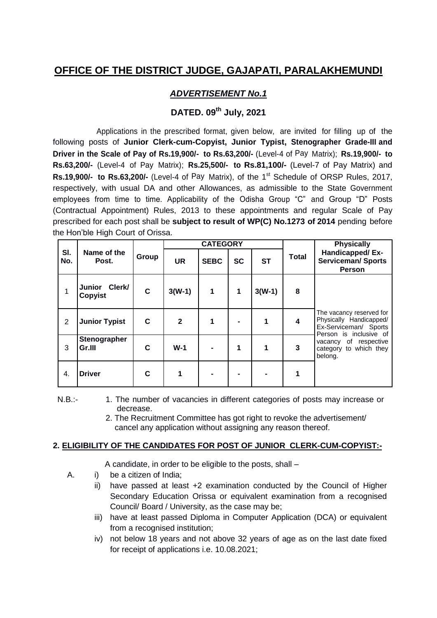# **OFFICE OF THE DISTRICT JUDGE, GAJAPATI, PARALAKHEMUNDI**

## *ADVERTISEMENT No.1*

## **DATED. 09th July, 2021**

Applications in the prescribed format, given below, are invited for filling up of the following posts of **Junior Clerk-cum-Copyist, Junior Typist, Stenographer Grade-III and Driver in the Scale of Pay of Rs.19,900/- to Rs.63,200/-** (Level-4 of Pay Matrix); **Rs.19,900/- to Rs.63,200/-** (Level-4 of Pay Matrix); **Rs.25,500/- to Rs.81,100/-** (Level-7 of Pay Matrix) and Rs.19,900/- to Rs.63,200/- (Level-4 of Pay Matrix), of the 1<sup>st</sup> Schedule of ORSP Rules, 2017, respectively, with usual DA and other Allowances, as admissible to the State Government employees from time to time. Applicability of the Odisha Group "C" and Group "D" Posts (Contractual Appointment) Rules, 2013 to these appointments and regular Scale of Pay prescribed for each post shall be **subject to result of WP(C) No.1273 of 2014** pending before the Hon"ble High Court of Orissa.

|                | Name of the<br>Post.            |       | <b>CATEGORY</b> |             |             |           |              | <b>Physically</b>                                                                                      |  |
|----------------|---------------------------------|-------|-----------------|-------------|-------------|-----------|--------------|--------------------------------------------------------------------------------------------------------|--|
| SI.<br>No.     |                                 | Group | <b>UR</b>       | <b>SEBC</b> | <b>SC</b>   | <b>ST</b> | <b>Total</b> | Handicapped/Ex-<br><b>Serviceman/ Sports</b><br><b>Person</b>                                          |  |
|                | Junior Clerk/<br><b>Copyist</b> | C     | $3(W-1)$        | 1           | $\mathbf 1$ | $3(W-1)$  | 8            |                                                                                                        |  |
| $\overline{2}$ | <b>Junior Typist</b>            | C     | $\overline{2}$  | 1           |             | 1         | 4            | The vacancy reserved for<br>Physically Handicapped/<br>Ex-Serviceman/ Sports<br>Person is inclusive of |  |
| 3              | Stenographer<br>Gr.III          | C     | $W-1$           |             | 1           | 1         | 3            | vacancy of respective<br>category to which they<br>belong.                                             |  |
| 4.             | <b>Driver</b>                   | C     | 1               |             |             |           |              |                                                                                                        |  |

- N.B.:- 1. The number of vacancies in different categories of posts may increase or decrease.
	- 2. The Recruitment Committee has got right to revoke the advertisement/ cancel any application without assigning any reason thereof.

#### **2. ELIGIBILITY OF THE CANDIDATES FOR POST OF JUNIOR CLERK-CUM-COPYIST:-**

A candidate, in order to be eligible to the posts, shall –

- A. i) be a citizen of India;
	- ii) have passed at least +2 examination conducted by the Council of Higher Secondary Education Orissa or equivalent examination from a recognised Council/ Board / University, as the case may be;
	- iii) have at least passed Diploma in Computer Application (DCA) or equivalent from a recognised institution;
	- iv) not below 18 years and not above 32 years of age as on the last date fixed for receipt of applications i.e. 10.08.2021;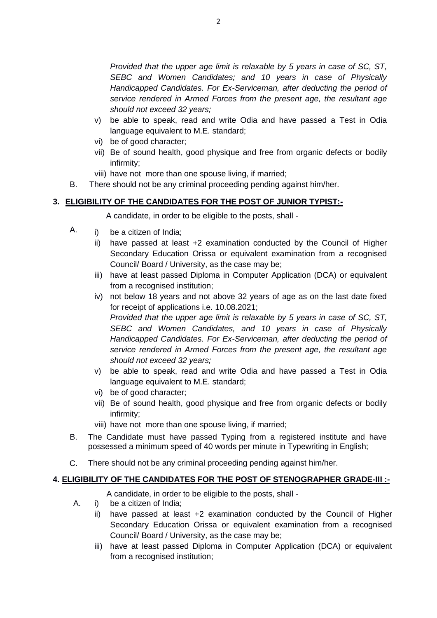*Provided that the upper age limit is relaxable by 5 years in case of SC, ST, SEBC and Women Candidates; and 10 years in case of Physically Handicapped Candidates. For Ex-Serviceman, after deducting the period of service rendered in Armed Forces from the present age, the resultant age should not exceed 32 years;*

- v) be able to speak, read and write Odia and have passed a Test in Odia language equivalent to M.E. standard;
- vi) be of good character;
- vii) Be of sound health, good physique and free from organic defects or bodily infirmity;
- viii) have not more than one spouse living, if married;
- B. There should not be any criminal proceeding pending against him/her.

## **3. ELIGIBILITY OF THE CANDIDATES FOR THE POST OF JUNIOR TYPIST:-**

A candidate, in order to be eligible to the posts, shall -

- A. i) be a citizen of India;
	- ii) have passed at least +2 examination conducted by the Council of Higher Secondary Education Orissa or equivalent examination from a recognised Council/ Board / University, as the case may be;
	- iii) have at least passed Diploma in Computer Application (DCA) or equivalent from a recognised institution:
	- iv) not below 18 years and not above 32 years of age as on the last date fixed for receipt of applications i.e. 10.08.2021;  *Provided that the upper age limit is relaxable by 5 years in case of SC, ST, SEBC and Women Candidates, and 10 years in case of Physically Handicapped Candidates. For Ex-Serviceman, after deducting the period of service rendered in Armed Forces from the present age, the resultant age should not exceed 32 years;*
	- v) be able to speak, read and write Odia and have passed a Test in Odia language equivalent to M.E. standard;
	- vi) be of good character;
	- vii) Be of sound health, good physique and free from organic defects or bodily infirmity;
	- viii) have not more than one spouse living, if married;
- B. The Candidate must have passed Typing from a registered institute and have possessed a minimum speed of 40 words per minute in Typewriting in English;
- C. There should not be any criminal proceeding pending against him/her.

## **4. ELIGIBILITY OF THE CANDIDATES FOR THE POST OF STENOGRAPHER GRADE-III :-**

A candidate, in order to be eligible to the posts, shall -

- A. i) be a citizen of India;
	- ii) have passed at least +2 examination conducted by the Council of Higher Secondary Education Orissa or equivalent examination from a recognised Council/ Board / University, as the case may be;
	- iii) have at least passed Diploma in Computer Application (DCA) or equivalent from a recognised institution;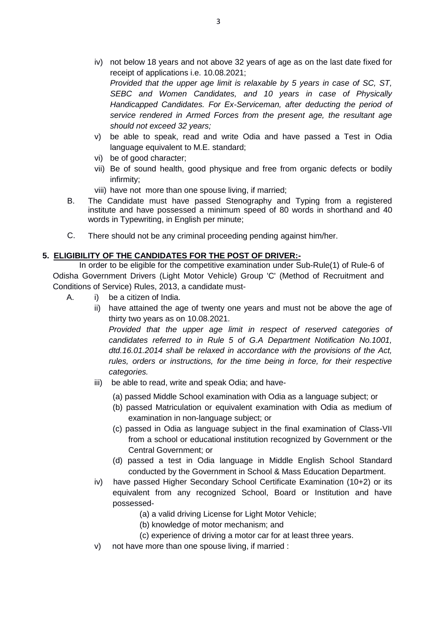- iv) not below 18 years and not above 32 years of age as on the last date fixed for receipt of applications i.e. 10.08.2021; *Provided that the upper age limit is relaxable by 5 years in case of SC, ST, SEBC and Women Candidates, and 10 years in case of Physically Handicapped Candidates. For Ex-Serviceman, after deducting the period of service rendered in Armed Forces from the present age, the resultant age should not exceed 32 years;*
- v) be able to speak, read and write Odia and have passed a Test in Odia language equivalent to M.E. standard;
- vi) be of good character;
- vii) Be of sound health, good physique and free from organic defects or bodily infirmity;
- viii) have not more than one spouse living, if married;
- B. The Candidate must have passed Stenography and Typing from a registered institute and have possessed a minimum speed of 80 words in shorthand and 40 words in Typewriting, in English per minute;
- C. There should not be any criminal proceeding pending against him/her.

### **5. ELIGIBILITY OF THE CANDIDATES FOR THE POST OF DRIVER:-**

In order to be eligible for the competitive examination under Sub-Rule(1) of Rule-6 of Odisha Government Drivers (Light Motor Vehicle) Group 'C' (Method of Recruitment and Conditions of Service) Rules, 2013, a candidate must-

- A. i) be a citizen of India.
	- ii) have attained the age of twenty one years and must not be above the age of thirty two years as on 10.08.2021.

*Provided that the upper age limit in respect of reserved categories of candidates referred to in Rule 5 of G.A Department Notification No.1001, dtd.16.01.2014 shall be relaxed in accordance with the provisions of the Act, rules, orders or instructions, for the time being in force, for their respective categories.*

- iii) be able to read, write and speak Odia; and have-
	- (a) passed Middle School examination with Odia as a language subject; or
	- (b) passed Matriculation or equivalent examination with Odia as medium of examination in non-language subject; or
	- (c) passed in Odia as language subject in the final examination of Class-VII from a school or educational institution recognized by Government or the Central Government; or
	- (d) passed a test in Odia language in Middle English School Standard conducted by the Government in School & Mass Education Department.
- iv) have passed Higher Secondary School Certificate Examination (10+2) or its equivalent from any recognized School, Board or Institution and have possessed-
	- (a) a valid driving License for Light Motor Vehicle;
		- (b) knowledge of motor mechanism; and
		- (c) experience of driving a motor car for at least three years.
- v) not have more than one spouse living, if married :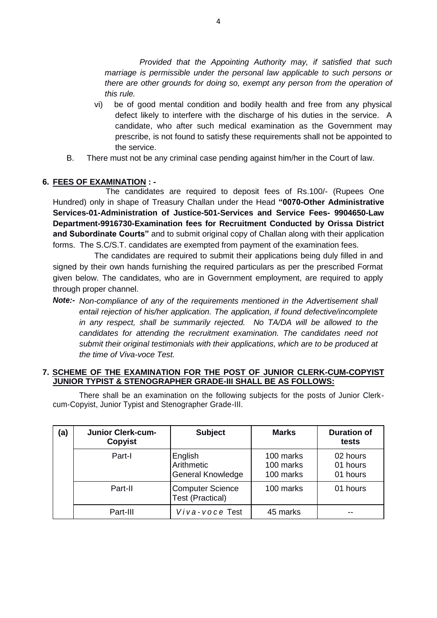*Provided that the Appointing Authority may, if satisfied that such marriage is permissible under the personal law applicable to such persons or there are other grounds for doing so, exempt any person from the operation of this rule.*

- vi) be of good mental condition and bodily health and free from any physical defect likely to interfere with the discharge of his duties in the service. A candidate, who after such medical examination as the Government may prescribe, is not found to satisfy these requirements shall not be appointed to the service.
- B. There must not be any criminal case pending against him/her in the Court of law.

#### **6. FEES OF EXAMINATION : -**

The candidates are required to deposit fees of Rs.100/- (Rupees One Hundred) only in shape of Treasury Challan under the Head **"0070-Other Administrative Services-01-Administration of Justice-501-Services and Service Fees- 9904650-Law Department-9916730-Examination fees for Recruitment Conducted by Orissa District and Subordinate Courts"** and to submit original copy of Challan along with their application forms.The S.C/S.T. candidates are exempted from payment of the examination fees.

The candidates are required to submit their applications being duly filled in and signed by their own hands furnishing the required particulars as per the prescribed Format given below. The candidates, who are in Government employment, are required to apply through proper channel.

*Note:- Non-compliance of any of the requirements mentioned in the Advertisement shall entail rejection of his/her application. The application, if found defective/incomplete in any respect, shall be summarily rejected. No TA/DA will be allowed to the candidates for attending the recruitment examination. The candidates need not submit their original testimonials with their applications, which are to be produced at the time of Viva-voce Test.*

#### **7. SCHEME OF THE EXAMINATION FOR THE POST OF JUNIOR CLERK-CUM-COPYIST JUNIOR TYPIST & STENOGRAPHER GRADE-III SHALL BE AS FOLLOWS:**

There shall be an examination on the following subjects for the posts of Junior Clerkcum-Copyist, Junior Typist and Stenographer Grade-III.

| (a) | <b>Junior Clerk-cum-</b><br><b>Copyist</b> | <b>Subject</b>                                     | <b>Marks</b>                        | <b>Duration of</b><br>tests      |
|-----|--------------------------------------------|----------------------------------------------------|-------------------------------------|----------------------------------|
|     | Part-I                                     | English<br>Arithmetic<br>General Knowledge         | 100 marks<br>100 marks<br>100 marks | 02 hours<br>01 hours<br>01 hours |
|     | Part-II                                    | <b>Computer Science</b><br><b>Test (Practical)</b> | 100 marks                           | 01 hours                         |
|     | Part-III                                   | Viva-voce Test                                     | 45 marks                            |                                  |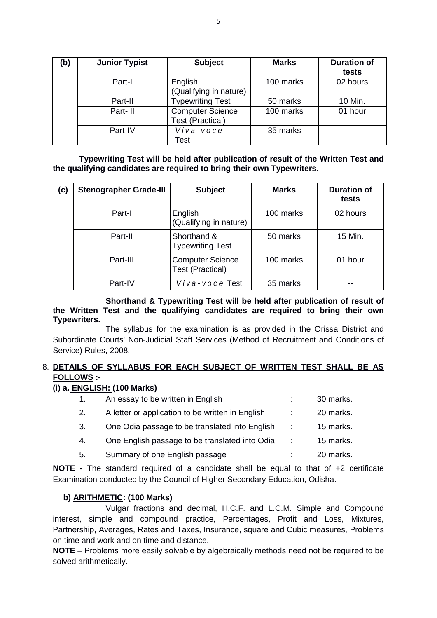| (b) | <b>Junior Typist</b> | <b>Subject</b>                                     | <b>Marks</b> | <b>Duration of</b><br>tests |
|-----|----------------------|----------------------------------------------------|--------------|-----------------------------|
|     | Part-I               | English<br>(Qualifying in nature)                  | 100 marks    | 02 hours                    |
|     | Part-II              | <b>Typewriting Test</b>                            | 50 marks     | 10 Min.                     |
|     | Part-III             | <b>Computer Science</b><br><b>Test (Practical)</b> | 100 marks    | 01 hour                     |
|     | Part-IV              | Viva-voce<br>Test                                  | 35 marks     | --                          |

**Typewriting Test will be held after publication of result of the Written Test and the qualifying candidates are required to bring their own Typewriters.**

| (c) | <b>Stenographer Grade-III</b> | <b>Subject</b>                                     | <b>Marks</b> | <b>Duration of</b><br>tests |
|-----|-------------------------------|----------------------------------------------------|--------------|-----------------------------|
|     | Part-I                        | English<br>(Qualifying in nature)                  | 100 marks    | 02 hours                    |
|     | Part-II                       | Shorthand &<br><b>Typewriting Test</b>             | 50 marks     | 15 Min.                     |
|     | Part-III                      | <b>Computer Science</b><br><b>Test (Practical)</b> | 100 marks    | 01 hour                     |
|     | Part-IV                       | Viva-voce Test                                     | 35 marks     |                             |

**Shorthand & Typewriting Test will be held after publication of result of the Written Test and the qualifying candidates are required to bring their own Typewriters.**

The syllabus for the examination is as provided in the Orissa District and Subordinate Courts' Non-Judicial Staff Services (Method of Recruitment and Conditions of Service) Rules, 2008.

### 8. **DETAILS OF SYLLABUS FOR EACH SUBJECT OF WRITTEN TEST SHALL BE AS FOLLOWS :-**

#### **(i) a. ENGLISH: (100 Marks)**

| $\mathbf 1$ . | An essay to be written in English                |   | 30 marks. |
|---------------|--------------------------------------------------|---|-----------|
| 2.            | A letter or application to be written in English |   | 20 marks. |
| 3.            | One Odia passage to be translated into English   | ÷ | 15 marks. |
| 4.            | One English passage to be translated into Odia   | ÷ | 15 marks. |
| 5.            | Summary of one English passage                   |   | 20 marks. |
|               |                                                  |   |           |

**NOTE -** The standard required of a candidate shall be equal to that of +2 certificate Examination conducted by the Council of Higher Secondary Education, Odisha.

### **b) ARITHMETIC: (100 Marks)**

 Vulgar fractions and decimal, H.C.F. and L.C.M. Simple and Compound interest, simple and compound practice, Percentages, Profit and Loss, Mixtures, Partnership, Averages, Rates and Taxes, Insurance, square and Cubic measures, Problems on time and work and on time and distance.

**NOTE** – Problems more easily solvable by algebraically methods need not be required to be solved arithmetically.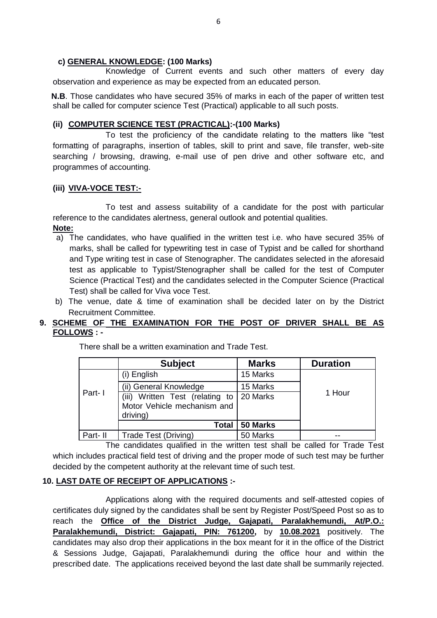#### **c) GENERAL KNOWLEDGE: (100 Marks)**

 Knowledge of Current events and such other matters of every day observation and experience as may be expected from an educated person.

 **N.B**. Those candidates who have secured 35% of marks in each of the paper of written test shall be called for computer science Test (Practical) applicable to all such posts.

### **(ii) COMPUTER SCIENCE TEST (PRACTICAL):-(100 Marks)**

To test the proficiency of the candidate relating to the matters like "test formatting of paragraphs, insertion of tables, skill to print and save, file transfer, web-site searching / browsing, drawing, e-mail use of pen drive and other software etc, and programmes of accounting.

### **(iii) VIVA-VOCE TEST:-**

To test and assess suitability of a candidate for the post with particular reference to the candidates alertness, general outlook and potential qualities. **Note:**

- a) The candidates, who have qualified in the written test i.e. who have secured 35% of marks, shall be called for typewriting test in case of Typist and be called for shorthand and Type writing test in case of Stenographer. The candidates selected in the aforesaid test as applicable to Typist/Stenographer shall be called for the test of Computer Science (Practical Test) and the candidates selected in the Computer Science (Practical Test) shall be called for Viva voce Test.
- b) The venue, date & time of examination shall be decided later on by the District Recruitment Committee.

### **9. SCHEME OF THE EXAMINATION FOR THE POST OF DRIVER SHALL BE AS FOLLOWS : -**

|         | <b>Subject</b>                          | <b>Marks</b> | <b>Duration</b> |
|---------|-----------------------------------------|--------------|-----------------|
|         | (i) English                             | 15 Marks     |                 |
|         | (ii) General Knowledge                  | 15 Marks     |                 |
| Part-1  | Written Test (relating to<br>(iii)      | 20 Marks     | 1 Hour          |
|         | Motor Vehicle mechanism and<br>driving) |              |                 |
|         | <b>Total</b>                            | 50 Marks     |                 |
| Part-II | Trade Test (Driving)                    | 50 Marks     |                 |

There shall be a written examination and Trade Test.

The candidates qualified in the written test shall be called for Trade Test which includes practical field test of driving and the proper mode of such test may be further decided by the competent authority at the relevant time of such test.

### **10. LAST DATE OF RECEIPT OF APPLICATIONS :-**

Applications along with the required documents and self-attested copies of certificates duly signed by the candidates shall be sent by Register Post/Speed Post so as to reach the **Office of the District Judge, Gajapati, Paralakhemundi, At/P.O.: Paralakhemundi, District: Gajapati, PIN: 761200,** by **10.08.2021** positively. The candidates may also drop their applications in the box meant for it in the office of the District & Sessions Judge, Gajapati, Paralakhemundi during the office hour and within the prescribed date. The applications received beyond the last date shall be summarily rejected.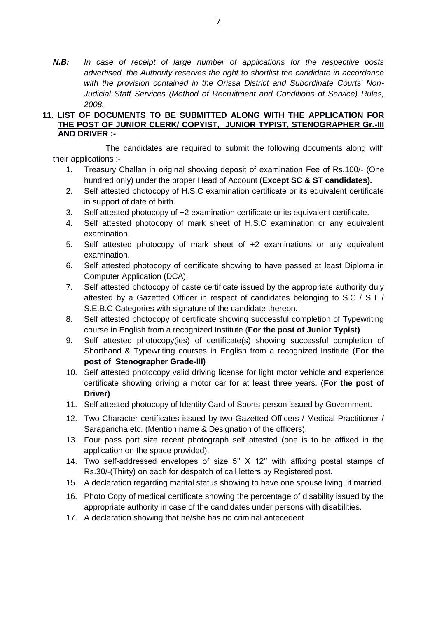*N.B: In case of receipt of large number of applications for the respective posts advertised, the Authority reserves the right to shortlist the candidate in accordance with the provision contained in the Orissa District and Subordinate Courts' Non-Judicial Staff Services (Method of Recruitment and Conditions of Service) Rules, 2008.*

#### **11. LIST OF DOCUMENTS TO BE SUBMITTED ALONG WITH THE APPLICATION FOR THE POST OF JUNIOR CLERK/ COPYIST, JUNIOR TYPIST, STENOGRAPHER Gr.-III AND DRIVER :-**

The candidates are required to submit the following documents along with their applications :-

- 1. Treasury Challan in original showing deposit of examination Fee of Rs.100/- (One hundred only) under the proper Head of Account (**Except SC & ST candidates).**
- 2. Self attested photocopy of H.S.C examination certificate or its equivalent certificate in support of date of birth.
- 3. Self attested photocopy of +2 examination certificate or its equivalent certificate.
- 4. Self attested photocopy of mark sheet of H.S.C examination or any equivalent examination.
- 5. Self attested photocopy of mark sheet of +2 examinations or any equivalent examination.
- 6. Self attested photocopy of certificate showing to have passed at least Diploma in Computer Application (DCA).
- 7. Self attested photocopy of caste certificate issued by the appropriate authority duly attested by a Gazetted Officer in respect of candidates belonging to S.C / S.T / S.E.B.C Categories with signature of the candidate thereon.
- 8. Self attested photocopy of certificate showing successful completion of Typewriting course in English from a recognized Institute (**For the post of Junior Typist)**
- 9. Self attested photocopy(ies) of certificate(s) showing successful completion of Shorthand & Typewriting courses in English from a recognized Institute (**For the post of Stenographer Grade-III)**
- 10. Self attested photocopy valid driving license for light motor vehicle and experience certificate showing driving a motor car for at least three years. (**For the post of Driver)**
- 11. Self attested photocopy of Identity Card of Sports person issued by Government.
- 12. Two Character certificates issued by two Gazetted Officers / Medical Practitioner / Sarapancha etc. (Mention name & Designation of the officers).
- 13. Four pass port size recent photograph self attested (one is to be affixed in the application on the space provided).
- 14. Two self-addressed envelopes of size 5" X 12" with affixing postal stamps of Rs.30/-(Thirty) on each for despatch of call letters by Registered post**.**
- 15. A declaration regarding marital status showing to have one spouse living, if married.
- 16. Photo Copy of medical certificate showing the percentage of disability issued by the appropriate authority in case of the candidates under persons with disabilities.
- 17. A declaration showing that he/she has no criminal antecedent.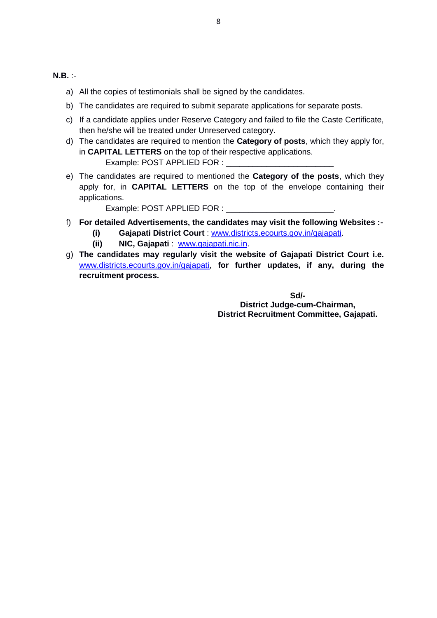#### **N.B.** :-

- a) All the copies of testimonials shall be signed by the candidates.
- b) The candidates are required to submit separate applications for separate posts.
- c) If a candidate applies under Reserve Category and failed to file the Caste Certificate, then he/she will be treated under Unreserved category.
- d) The candidates are required to mention the **Category of posts**, which they apply for, in **CAPITAL LETTERS** on the top of their respective applications. Example: POST APPLIED FOR :
- e) The candidates are required to mentioned the **Category of the posts**, which they apply for, in **CAPITAL LETTERS** on the top of the envelope containing their applications.

Example: POST APPLIED FOR :

- f) **For detailed Advertisements, the candidates may visit the following Websites :-**
	- **(i) Gajapati District Court** : [www.districts.ecourts.gov.in/gajapati.](http://www.districts.ecourts.gov.in/gajapati)
	- **(ii) NIC, Gajapati** : [www.gajapati.nic.in.](http://www.gajapati.nic.in/)
- g) **The candidates may regularly visit the website of Gajapati District Court i.e.** [www.districts.ecourts.gov.in/gajapati,](http://www.districts.ecourts.gov.in/gajapati) **for further updates, if any, during the recruitment process.**

**Sd/-**

**District Judge-cum-Chairman, District Recruitment Committee, Gajapati.**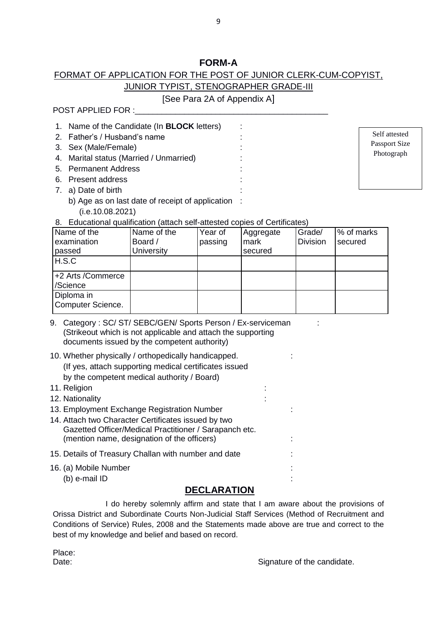## **FORM-A**

## FORMAT OF APPLICATION FOR THE POST OF JUNIOR CLERK-CUM-COPYIST, JUNIOR TYPIST, STENOGRAPHER GRADE-III

## [See Para 2A of Appendix A]

POST APPLIED FOR :

1. Name of the Candidate (In **BLOCK** letters) : 2. Father's / Husband's name 3. Sex (Male/Female) 4. Marital status (Married / Unmarried) : 5. Permanent Address : 6. Present address : 7. a) Date of birth :

Self attested Passport Size Photograph

- b) Age as on last date of receipt of application : (i.e.10.08.2021)
- 8. Educational qualification (attach self-attested copies of Certificates)

| Name of the<br>examination<br>passed | Name of the<br>Board /<br><b>University</b> | Year of<br>passing | Aggregate<br>mark<br>secured | Grade/<br><b>Division</b> | % of marks<br>secured |
|--------------------------------------|---------------------------------------------|--------------------|------------------------------|---------------------------|-----------------------|
| H.S.C                                |                                             |                    |                              |                           |                       |
| +2 Arts /Commerce<br>/Science        |                                             |                    |                              |                           |                       |
| Diploma in<br>Computer Science.      |                                             |                    |                              |                           |                       |

- 9. Category : SC/ ST/ SEBC/GEN/ Sports Person / Ex-serviceman : (Strikeout which is not applicable and attach the supporting documents issued by the competent authority)
- 10. Whether physically / orthopedically handicapped. : (If yes, attach supporting medical certificates issued by the competent medical authority / Board)
- 11. Religion : 12. Nationality 13. Employment Exchange Registration Number : 14. Attach two Character Certificates issued by two Gazetted Officer/Medical Practitioner / Sarapanch etc. (mention name, designation of the officers) : 15. Details of Treasury Challan with number and date : 16. (a) Mobile Number : (b) e-mail ID :

## **DECLARATION**

I do hereby solemnly affirm and state that I am aware about the provisions of Orissa District and Subordinate Courts Non-Judicial Staff Services (Method of Recruitment and Conditions of Service) Rules, 2008 and the Statements made above are true and correct to the best of my knowledge and belief and based on record.

Place:

Date:  $\Box$  Signature of the candidate.